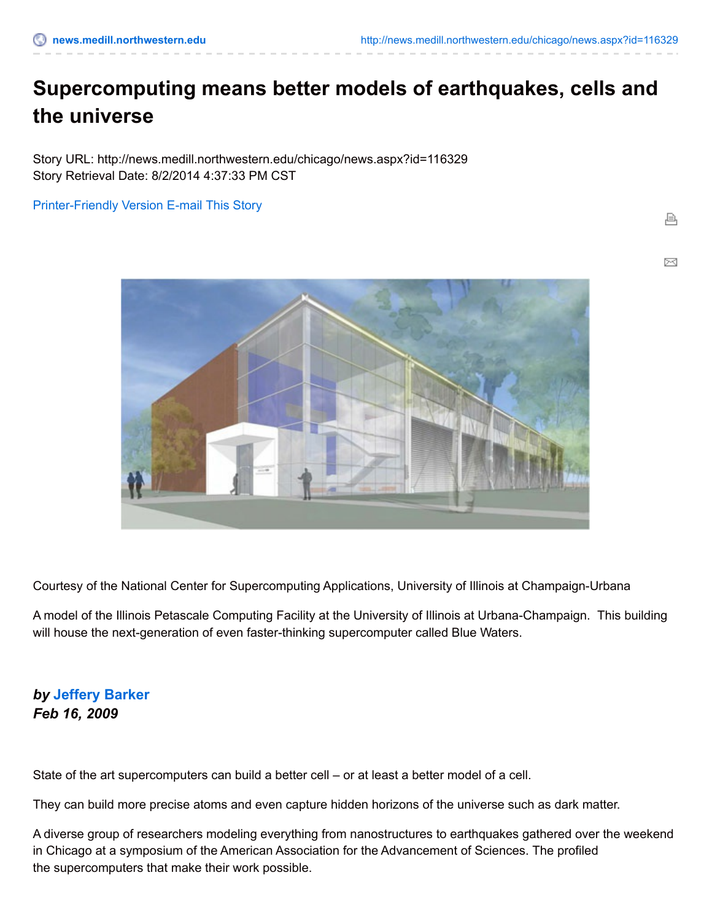## **Supercomputing means better models of earthquakes, cells and the universe**

Story URL: http://news.medill.northwestern.edu/chicago/news.aspx?id=116329 Story Retrieval Date: 8/2/2014 4:37:33 PM CST

[Printer-Friendly](http://news.medill.northwestern.edu/chicago/news.aspx?id=116329&print=1) Version [E-mail](http://news.medill.northwestern.edu/chicago/emailFriend.aspx?id=MTE2MzI5) This Story

চৰ



Courtesy of the National Center for Supercomputing Applications, University of Illinois at Champaign-Urbana

A model of the Illinois Petascale Computing Facility at the University of Illinois at Urbana-Champaign. This building will house the next-generation of even faster-thinking supercomputer called Blue Waters.

## *by* **[Jeffery](http://news.medill.northwestern.edu/WorkArea/linkit.aspx?LinkIdentifier=id&ItemID=102717) Barker** *Feb 16, 2009*

State of the art supercomputers can build a better cell – or at least a better model of a cell.

They can build more precise atoms and even capture hidden horizons of the universe such as dark matter.

A diverse group of researchers modeling everything from nanostructures to earthquakes gathered over the weekend in Chicago at a symposium of the American Association for the Advancement of Sciences. The profiled the supercomputers that make their work possible.